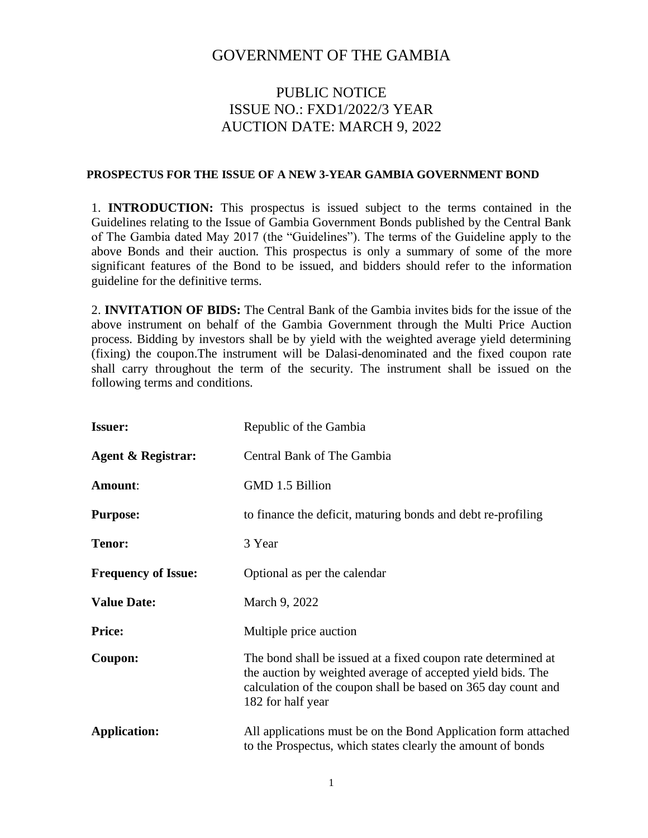## GOVERNMENT OF THE GAMBIA

# PUBLIC NOTICE ISSUE NO.: FXD1/2022/3 YEAR AUCTION DATE: MARCH 9, 2022

#### **PROSPECTUS FOR THE ISSUE OF A NEW 3-YEAR GAMBIA GOVERNMENT BOND**

1. **INTRODUCTION:** This prospectus is issued subject to the terms contained in the Guidelines relating to the Issue of Gambia Government Bonds published by the Central Bank of The Gambia dated May 2017 (the "Guidelines"). The terms of the Guideline apply to the above Bonds and their auction. This prospectus is only a summary of some of the more significant features of the Bond to be issued, and bidders should refer to the information guideline for the definitive terms.

2. **INVITATION OF BIDS:** The Central Bank of the Gambia invites bids for the issue of the above instrument on behalf of the Gambia Government through the Multi Price Auction process. Bidding by investors shall be by yield with the weighted average yield determining (fixing) the coupon.The instrument will be Dalasi-denominated and the fixed coupon rate shall carry throughout the term of the security. The instrument shall be issued on the following terms and conditions.

| <b>Issuer:</b>                | Republic of the Gambia                                                                                                                                                                                             |  |  |
|-------------------------------|--------------------------------------------------------------------------------------------------------------------------------------------------------------------------------------------------------------------|--|--|
| <b>Agent &amp; Registrar:</b> | Central Bank of The Gambia                                                                                                                                                                                         |  |  |
| Amount:                       | GMD 1.5 Billion                                                                                                                                                                                                    |  |  |
| <b>Purpose:</b>               | to finance the deficit, maturing bonds and debt re-profiling                                                                                                                                                       |  |  |
| <b>Tenor:</b>                 | 3 Year                                                                                                                                                                                                             |  |  |
| <b>Frequency of Issue:</b>    | Optional as per the calendar                                                                                                                                                                                       |  |  |
| <b>Value Date:</b>            | March 9, 2022                                                                                                                                                                                                      |  |  |
| <b>Price:</b>                 | Multiple price auction                                                                                                                                                                                             |  |  |
| Coupon:                       | The bond shall be issued at a fixed coupon rate determined at<br>the auction by weighted average of accepted yield bids. The<br>calculation of the coupon shall be based on 365 day count and<br>182 for half year |  |  |
| <b>Application:</b>           | All applications must be on the Bond Application form attached<br>to the Prospectus, which states clearly the amount of bonds                                                                                      |  |  |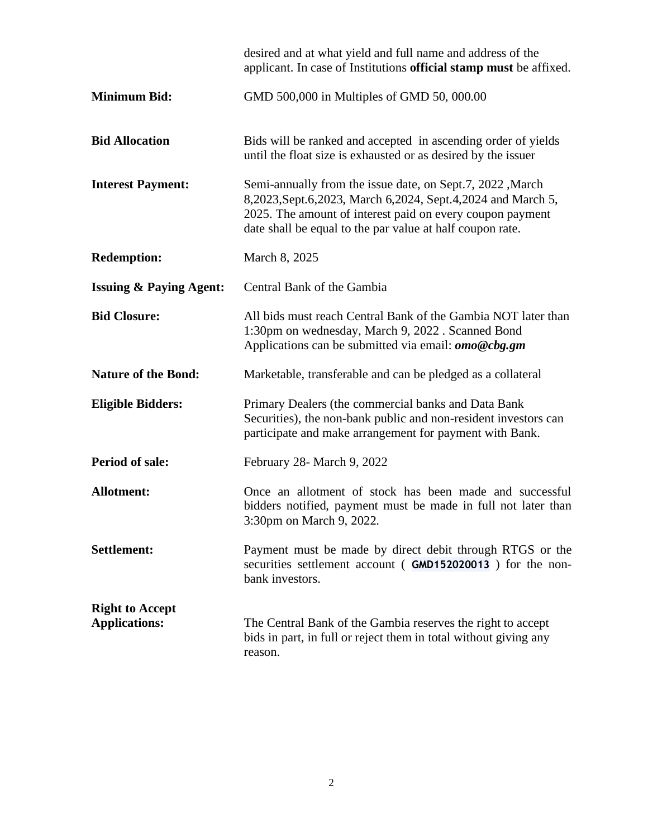|                                                | desired and at what yield and full name and address of the<br>applicant. In case of Institutions official stamp must be affixed.                                                                                                                       |  |  |
|------------------------------------------------|--------------------------------------------------------------------------------------------------------------------------------------------------------------------------------------------------------------------------------------------------------|--|--|
| <b>Minimum Bid:</b>                            | GMD 500,000 in Multiples of GMD 50, 000.00                                                                                                                                                                                                             |  |  |
| <b>Bid Allocation</b>                          | Bids will be ranked and accepted in ascending order of yields<br>until the float size is exhausted or as desired by the issuer                                                                                                                         |  |  |
| <b>Interest Payment:</b>                       | Semi-annually from the issue date, on Sept.7, 2022 , March<br>8,2023, Sept. 6,2023, March 6,2024, Sept. 4, 2024 and March 5,<br>2025. The amount of interest paid on every coupon payment<br>date shall be equal to the par value at half coupon rate. |  |  |
| <b>Redemption:</b>                             | March 8, 2025                                                                                                                                                                                                                                          |  |  |
| <b>Issuing &amp; Paying Agent:</b>             | Central Bank of the Gambia                                                                                                                                                                                                                             |  |  |
| <b>Bid Closure:</b>                            | All bids must reach Central Bank of the Gambia NOT later than<br>1:30pm on wednesday, March 9, 2022 . Scanned Bond<br>Applications can be submitted via email: $omo@cbg,gm$                                                                            |  |  |
| <b>Nature of the Bond:</b>                     | Marketable, transferable and can be pledged as a collateral                                                                                                                                                                                            |  |  |
| <b>Eligible Bidders:</b>                       | Primary Dealers (the commercial banks and Data Bank<br>Securities), the non-bank public and non-resident investors can<br>participate and make arrangement for payment with Bank.                                                                      |  |  |
| <b>Period of sale:</b>                         | February 28- March 9, 2022                                                                                                                                                                                                                             |  |  |
| <b>Allotment:</b>                              | Once an allotment of stock has been made and successful<br>bidders notified, payment must be made in full not later than<br>3:30pm on March 9, 2022.                                                                                                   |  |  |
| <b>Settlement:</b>                             | Payment must be made by direct debit through RTGS or the<br>securities settlement account (GMD152020013) for the non-<br>bank investors.                                                                                                               |  |  |
| <b>Right to Accept</b><br><b>Applications:</b> | The Central Bank of the Gambia reserves the right to accept<br>bids in part, in full or reject them in total without giving any<br>reason.                                                                                                             |  |  |